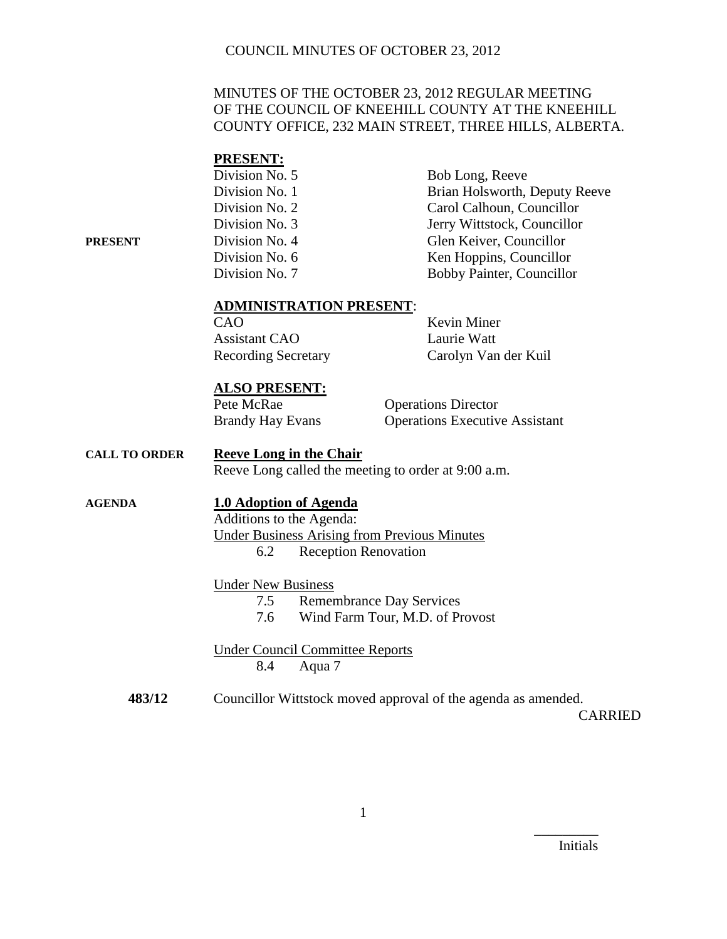## MINUTES OF THE OCTOBER 23, 2012 REGULAR MEETING OF THE COUNCIL OF KNEEHILL COUNTY AT THE KNEEHILL COUNTY OFFICE, 232 MAIN STREET, THREE HILLS, ALBERTA.

#### **PRESENT:**

|         | Division No. 5 | Bob Long, Reeve               |
|---------|----------------|-------------------------------|
|         | Division No. 1 | Brian Holsworth, Deputy Reeve |
|         | Division No. 2 | Carol Calhoun, Councillor     |
|         | Division No. 3 | Jerry Wittstock, Councillor   |
| PRESENT | Division No. 4 | Glen Keiver, Councillor       |
|         | Division No. 6 | Ken Hoppins, Councillor       |
|         | Division No. 7 | Bobby Painter, Councillor     |
|         |                |                               |

#### **ADMINISTRATION PRESENT**:

CAO Kevin Miner Assistant CAO Laurie Watt

Recording Secretary Carolyn Van der Kuil

#### **ALSO PRESENT:**

Pete McRae Operations Director Brandy Hay Evans Operations Executive Assistant

#### **CALL TO ORDER Reeve Long in the Chair** Reeve Long called the meeting to order at 9:00 a.m.

## **AGENDA 1.0 Adoption of Agenda**

Additions to the Agenda: Under Business Arising from Previous Minutes 6.2 Reception Renovation

#### Under New Business

- 7.5 Remembrance Day Services
- 7.6 Wind Farm Tour, M.D. of Provost

Under Council Committee Reports 8.4 Aqua 7

**483/12** Councillor Wittstock moved approval of the agenda as amended.

CARRIED

Initials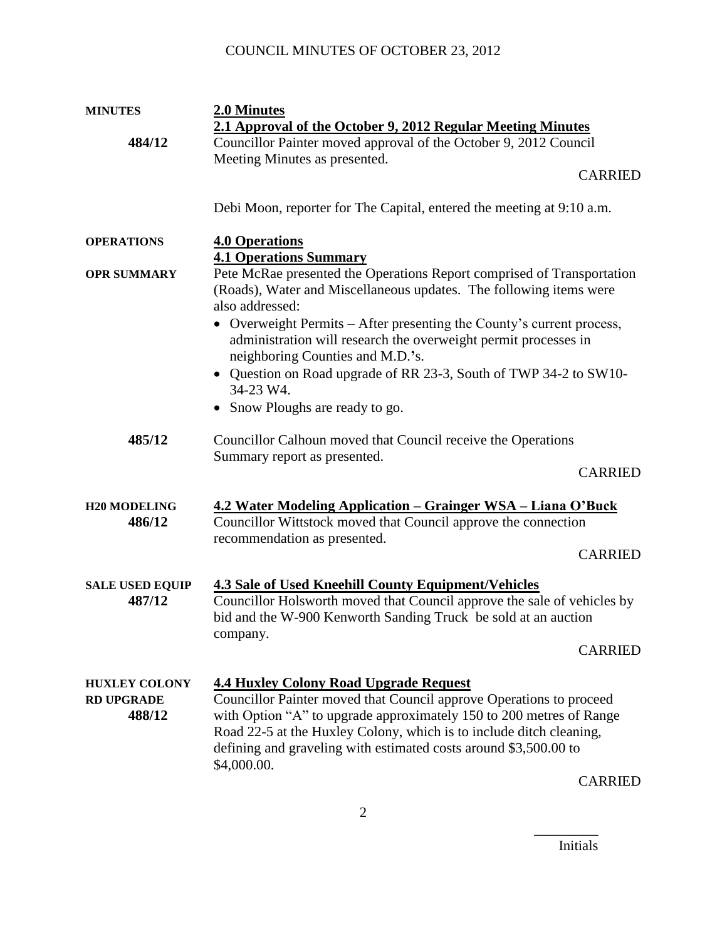| <b>MINUTES</b>                                      | 2.0 Minutes                                                                                                                                                                                                                                                                                                                                           |
|-----------------------------------------------------|-------------------------------------------------------------------------------------------------------------------------------------------------------------------------------------------------------------------------------------------------------------------------------------------------------------------------------------------------------|
|                                                     | 2.1 Approval of the October 9, 2012 Regular Meeting Minutes                                                                                                                                                                                                                                                                                           |
| 484/12                                              | Councillor Painter moved approval of the October 9, 2012 Council                                                                                                                                                                                                                                                                                      |
|                                                     | Meeting Minutes as presented.                                                                                                                                                                                                                                                                                                                         |
|                                                     | <b>CARRIED</b>                                                                                                                                                                                                                                                                                                                                        |
|                                                     |                                                                                                                                                                                                                                                                                                                                                       |
|                                                     | Debi Moon, reporter for The Capital, entered the meeting at 9:10 a.m.                                                                                                                                                                                                                                                                                 |
| <b>OPERATIONS</b>                                   | <b>4.0 Operations</b>                                                                                                                                                                                                                                                                                                                                 |
|                                                     | <b>4.1 Operations Summary</b>                                                                                                                                                                                                                                                                                                                         |
| <b>OPR SUMMARY</b>                                  | Pete McRae presented the Operations Report comprised of Transportation<br>(Roads), Water and Miscellaneous updates. The following items were                                                                                                                                                                                                          |
|                                                     | also addressed:                                                                                                                                                                                                                                                                                                                                       |
|                                                     | • Overweight Permits – After presenting the County's current process,<br>administration will research the overweight permit processes in<br>neighboring Counties and M.D.'s.                                                                                                                                                                          |
|                                                     | • Question on Road upgrade of RR 23-3, South of TWP 34-2 to SW10-<br>34-23 W4.                                                                                                                                                                                                                                                                        |
|                                                     | Snow Ploughs are ready to go.                                                                                                                                                                                                                                                                                                                         |
| 485/12                                              | Councillor Calhoun moved that Council receive the Operations<br>Summary report as presented.                                                                                                                                                                                                                                                          |
|                                                     | <b>CARRIED</b>                                                                                                                                                                                                                                                                                                                                        |
| <b>H20 MODELING</b>                                 | <u> 4.2 Water Modeling Application – Grainger WSA – Liana O'Buck</u>                                                                                                                                                                                                                                                                                  |
| 486/12                                              | Councillor Wittstock moved that Council approve the connection                                                                                                                                                                                                                                                                                        |
|                                                     | recommendation as presented.                                                                                                                                                                                                                                                                                                                          |
|                                                     | <b>CARRIED</b>                                                                                                                                                                                                                                                                                                                                        |
| <b>SALE USED EQUIP</b><br>487/12                    | <b>4.3 Sale of Used Kneehill County Equipment/Vehicles</b><br>Councillor Holsworth moved that Council approve the sale of vehicles by<br>bid and the W-900 Kenworth Sanding Truck be sold at an auction                                                                                                                                               |
|                                                     | company.<br><b>CARRIED</b>                                                                                                                                                                                                                                                                                                                            |
| <b>HUXLEY COLONY</b><br><b>RD UPGRADE</b><br>488/12 | <b>4.4 Huxley Colony Road Upgrade Request</b><br>Councillor Painter moved that Council approve Operations to proceed<br>with Option "A" to upgrade approximately 150 to 200 metres of Range<br>Road 22-5 at the Huxley Colony, which is to include ditch cleaning,<br>defining and graveling with estimated costs around \$3,500.00 to<br>\$4,000.00. |

CARRIED

Initials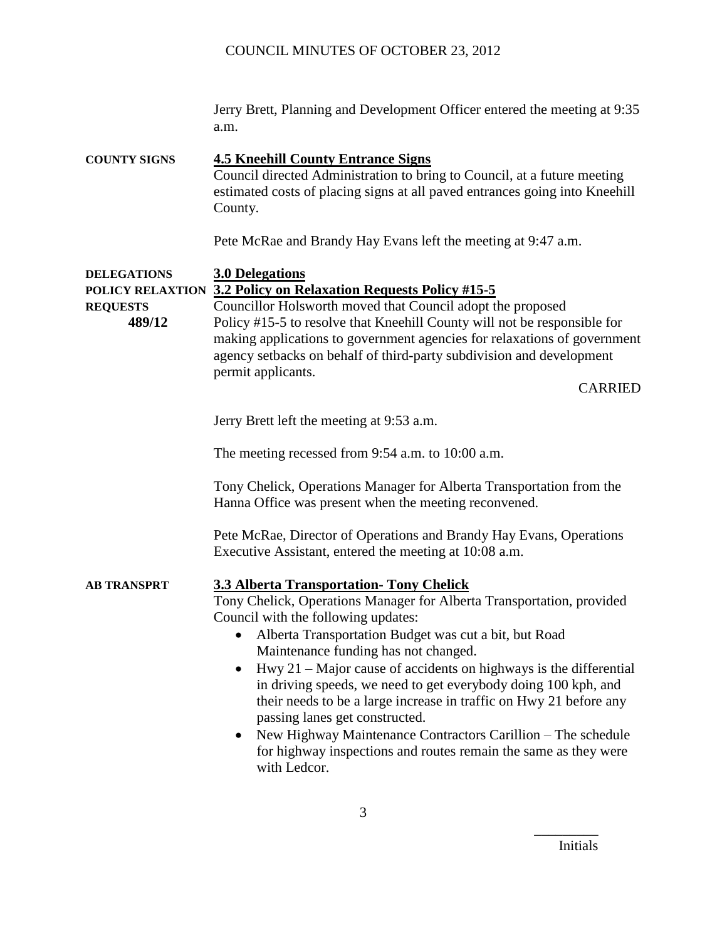Jerry Brett, Planning and Development Officer entered the meeting at 9:35 a.m.

**COUNTY SIGNS 4.5 Kneehill County Entrance Signs** Council directed Administration to bring to Council, at a future meeting estimated costs of placing signs at all paved entrances going into Kneehill County.

Pete McRae and Brandy Hay Evans left the meeting at 9:47 a.m.

# **DELEGATIONS 3.0 Delegations POLICY RELAXTION 3.2 Policy on Relaxation Requests Policy #15-5 REQUESTS** Councillor Holsworth moved that Council adopt the proposed

**489/12** Policy #15-5 to resolve that Kneehill County will not be responsible for making applications to government agencies for relaxations of government agency setbacks on behalf of third-party subdivision and development permit applicants.

CARRIED

Jerry Brett left the meeting at 9:53 a.m.

The meeting recessed from 9:54 a.m. to 10:00 a.m.

Tony Chelick, Operations Manager for Alberta Transportation from the Hanna Office was present when the meeting reconvened.

Pete McRae, Director of Operations and Brandy Hay Evans, Operations Executive Assistant, entered the meeting at 10:08 a.m.

## **AB TRANSPRT 3.3 Alberta Transportation- Tony Chelick**

Tony Chelick, Operations Manager for Alberta Transportation, provided Council with the following updates:

- Alberta Transportation Budget was cut a bit, but Road Maintenance funding has not changed.
- $\bullet$  Hwy 21 Major cause of accidents on highways is the differential in driving speeds, we need to get everybody doing 100 kph, and their needs to be a large increase in traffic on Hwy 21 before any passing lanes get constructed.
- New Highway Maintenance Contractors Carillion The schedule for highway inspections and routes remain the same as they were with Ledcor.

Initials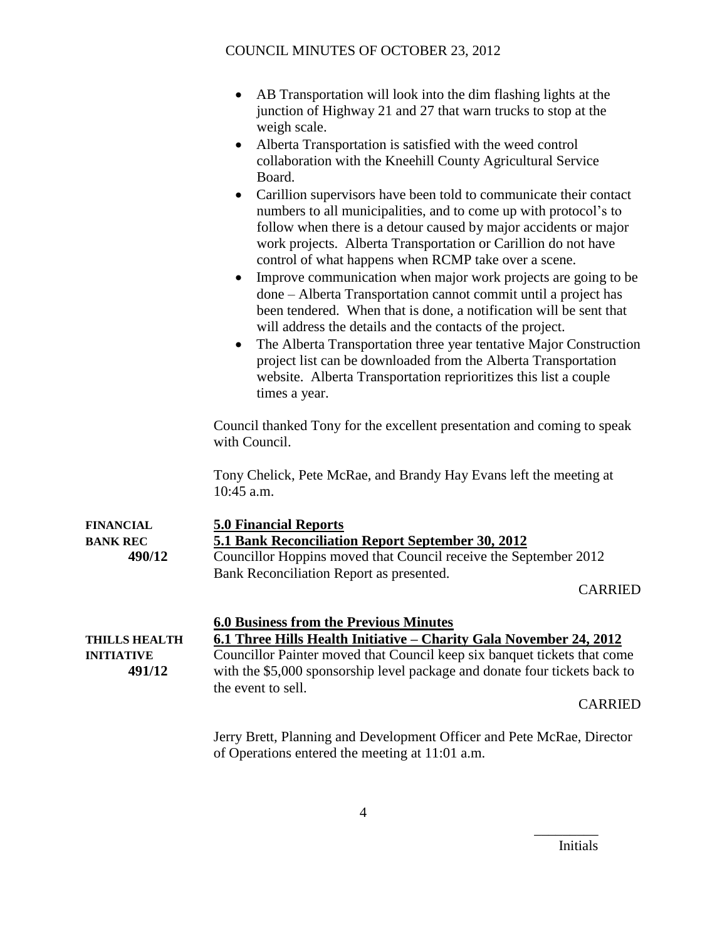| • AB Transportation will look into the dim flashing lights at the |
|-------------------------------------------------------------------|
| junction of Highway 21 and 27 that warn trucks to stop at the     |
| weigh scale.                                                      |

- Alberta Transportation is satisfied with the weed control collaboration with the Kneehill County Agricultural Service Board.
- Carillion supervisors have been told to communicate their contact numbers to all municipalities, and to come up with protocol's to follow when there is a detour caused by major accidents or major work projects. Alberta Transportation or Carillion do not have control of what happens when RCMP take over a scene.
- Improve communication when major work projects are going to be done – Alberta Transportation cannot commit until a project has been tendered. When that is done, a notification will be sent that will address the details and the contacts of the project.
- The Alberta Transportation three year tentative Major Construction project list can be downloaded from the Alberta Transportation website. Alberta Transportation reprioritizes this list a couple times a year.

Council thanked Tony for the excellent presentation and coming to speak with Council.

Tony Chelick, Pete McRae, and Brandy Hay Evans left the meeting at 10:45 a.m.

| <b>FINANCIAL</b><br><b>BANK REC</b><br>490/12       | <b>5.0 Financial Reports</b><br>5.1 Bank Reconciliation Report September 30, 2012<br>Councillor Hoppins moved that Council receive the September 2012<br>Bank Reconciliation Report as presented.<br><b>CARRIED</b>                                                                                                   |
|-----------------------------------------------------|-----------------------------------------------------------------------------------------------------------------------------------------------------------------------------------------------------------------------------------------------------------------------------------------------------------------------|
| <b>THILLS HEALTH</b><br><b>INITIATIVE</b><br>491/12 | <b>6.0 Business from the Previous Minutes</b><br>6.1 Three Hills Health Initiative – Charity Gala November 24, 2012<br>Councillor Painter moved that Council keep six banquet tickets that come<br>with the \$5,000 sponsorship level package and donate four tickets back to<br>the event to sell.<br><b>CARRIED</b> |
|                                                     | $L_{\text{max}}$ $D_{\text{max}}$ $D_{\text{max}}$ $L_{\text{max}}$ $D_{\text{max}}$ $L_{\text{max}}$ $D_{\text{max}}$ $D_{\text{max}}$ $D_{\text{max}}$ $D_{\text{max}}$ $D_{\text{max}}$                                                                                                                            |

Jerry Brett, Planning and Development Officer and Pete McRae, Director of Operations entered the meeting at 11:01 a.m.

Initials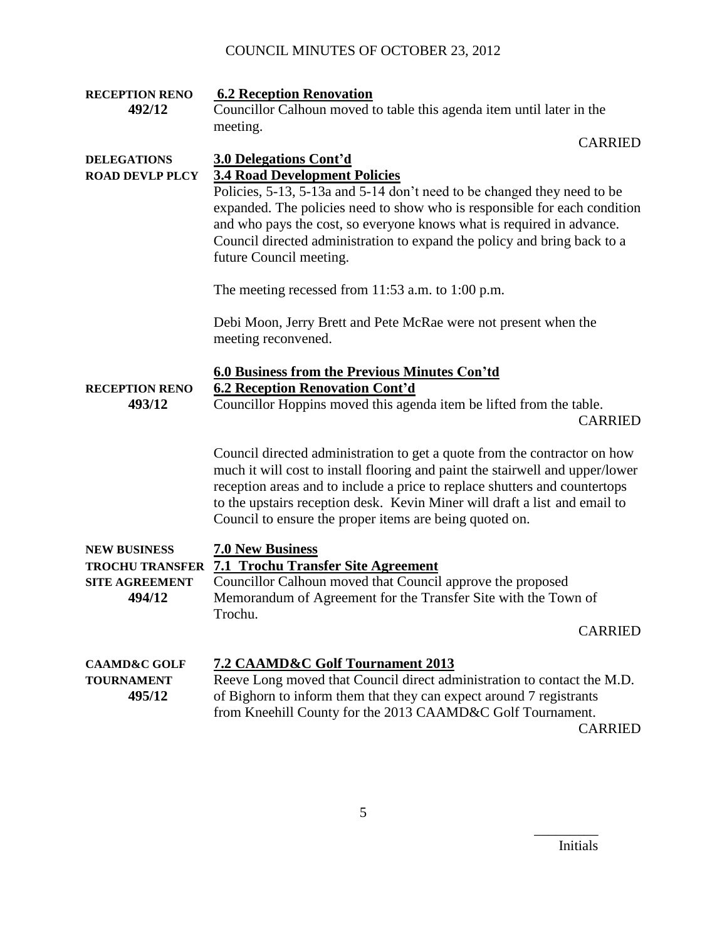| <b>RECEPTION RENO</b><br>492/12                                                  | <b>6.2 Reception Renovation</b><br>Councillor Calhoun moved to table this agenda item until later in the<br>meeting.                                                                                                                                                                                                                                                                                   |  |
|----------------------------------------------------------------------------------|--------------------------------------------------------------------------------------------------------------------------------------------------------------------------------------------------------------------------------------------------------------------------------------------------------------------------------------------------------------------------------------------------------|--|
|                                                                                  | <b>CARRIED</b>                                                                                                                                                                                                                                                                                                                                                                                         |  |
| <b>DELEGATIONS</b><br><b>ROAD DEVLP PLCY</b>                                     | 3.0 Delegations Cont'd<br><b>3.4 Road Development Policies</b><br>Policies, 5-13, 5-13a and 5-14 don't need to be changed they need to be<br>expanded. The policies need to show who is responsible for each condition<br>and who pays the cost, so everyone knows what is required in advance.<br>Council directed administration to expand the policy and bring back to a<br>future Council meeting. |  |
|                                                                                  | The meeting recessed from $11:53$ a.m. to $1:00$ p.m.                                                                                                                                                                                                                                                                                                                                                  |  |
|                                                                                  | Debi Moon, Jerry Brett and Pete McRae were not present when the<br>meeting reconvened.                                                                                                                                                                                                                                                                                                                 |  |
| <b>RECEPTION RENO</b><br>493/12                                                  | 6.0 Business from the Previous Minutes Con'td<br><b>6.2 Reception Renovation Cont'd</b><br>Councillor Hoppins moved this agenda item be lifted from the table.<br><b>CARRIED</b>                                                                                                                                                                                                                       |  |
|                                                                                  | Council directed administration to get a quote from the contractor on how<br>much it will cost to install flooring and paint the stairwell and upper/lower<br>reception areas and to include a price to replace shutters and countertops<br>to the upstairs reception desk. Kevin Miner will draft a list and email to<br>Council to ensure the proper items are being quoted on.                      |  |
| <b>NEW BUSINESS</b><br><b>TROCHU TRANSFER</b><br><b>SITE AGREEMENT</b><br>494/12 | <b>7.0 New Business</b><br><b>7.1 Trochu Transfer Site Agreement</b><br>Councillor Calhoun moved that Council approve the proposed<br>Memorandum of Agreement for the Transfer Site with the Town of<br>Trochu.                                                                                                                                                                                        |  |
|                                                                                  | <b>CARRIED</b>                                                                                                                                                                                                                                                                                                                                                                                         |  |
| <b>CAAMD&amp;C GOLF</b><br><b>TOURNAMENT</b><br>495/12                           | <b>7.2 CAAMD&amp;C Golf Tournament 2013</b><br>Reeve Long moved that Council direct administration to contact the M.D.<br>of Bighorn to inform them that they can expect around 7 registrants<br>from Kneehill County for the 2013 CAAMD&C Golf Tournament.<br><b>CARRIED</b>                                                                                                                          |  |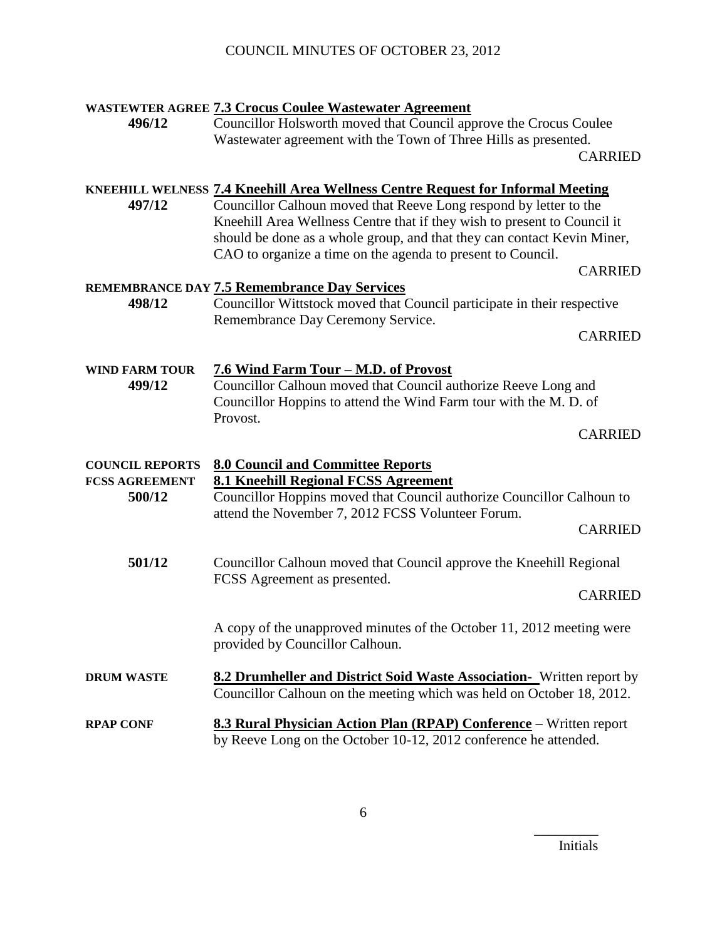| 496/12                                                                                                                                                                                                                     | <b>WASTEWTER AGREE 7.3 Crocus Coulee Wastewater Agreement</b><br>Councillor Holsworth moved that Council approve the Crocus Coulee<br>Wastewater agreement with the Town of Three Hills as presented.                                                                                                                                                                             |                |
|----------------------------------------------------------------------------------------------------------------------------------------------------------------------------------------------------------------------------|-----------------------------------------------------------------------------------------------------------------------------------------------------------------------------------------------------------------------------------------------------------------------------------------------------------------------------------------------------------------------------------|----------------|
|                                                                                                                                                                                                                            |                                                                                                                                                                                                                                                                                                                                                                                   | <b>CARRIED</b> |
| 497/12                                                                                                                                                                                                                     | <b>KNEEHILL WELNESS 7.4 Kneehill Area Wellness Centre Request for Informal Meeting</b><br>Councillor Calhoun moved that Reeve Long respond by letter to the<br>Kneehill Area Wellness Centre that if they wish to present to Council it<br>should be done as a whole group, and that they can contact Kevin Miner,<br>CAO to organize a time on the agenda to present to Council. | <b>CARRIED</b> |
|                                                                                                                                                                                                                            | <b>REMEMBRANCE DAY 7.5 Remembrance Day Services</b>                                                                                                                                                                                                                                                                                                                               |                |
| 498/12                                                                                                                                                                                                                     | Councillor Wittstock moved that Council participate in their respective<br>Remembrance Day Ceremony Service.                                                                                                                                                                                                                                                                      |                |
|                                                                                                                                                                                                                            |                                                                                                                                                                                                                                                                                                                                                                                   | <b>CARRIED</b> |
| 7.6 Wind Farm Tour - M.D. of Provost<br><b>WIND FARM TOUR</b><br>Councillor Calhoun moved that Council authorize Reeve Long and<br>499/12<br>Councillor Hoppins to attend the Wind Farm tour with the M. D. of<br>Provost. |                                                                                                                                                                                                                                                                                                                                                                                   |                |
|                                                                                                                                                                                                                            |                                                                                                                                                                                                                                                                                                                                                                                   | <b>CARRIED</b> |
| <b>COUNCIL REPORTS</b><br><b>FCSS AGREEMENT</b><br>500/12                                                                                                                                                                  | <b>8.0 Council and Committee Reports</b><br>8.1 Kneehill Regional FCSS Agreement<br>Councillor Hoppins moved that Council authorize Councillor Calhoun to<br>attend the November 7, 2012 FCSS Volunteer Forum.                                                                                                                                                                    | <b>CARRIED</b> |
| 501/12<br>Councillor Calhoun moved that Council approve the Kneehill Regional                                                                                                                                              |                                                                                                                                                                                                                                                                                                                                                                                   |                |
|                                                                                                                                                                                                                            | FCSS Agreement as presented.                                                                                                                                                                                                                                                                                                                                                      |                |
|                                                                                                                                                                                                                            |                                                                                                                                                                                                                                                                                                                                                                                   | <b>CARRIED</b> |
|                                                                                                                                                                                                                            | A copy of the unapproved minutes of the October 11, 2012 meeting were<br>provided by Councillor Calhoun.                                                                                                                                                                                                                                                                          |                |
| <b>DRUM WASTE</b>                                                                                                                                                                                                          | <b>8.2 Drumheller and District Soid Waste Association-</b> Written report by<br>Councillor Calhoun on the meeting which was held on October 18, 2012.                                                                                                                                                                                                                             |                |
| <b>RPAP CONF</b>                                                                                                                                                                                                           | 8.3 Rural Physician Action Plan (RPAP) Conference - Written report<br>by Reeve Long on the October 10-12, 2012 conference he attended.                                                                                                                                                                                                                                            |                |

6

Initials